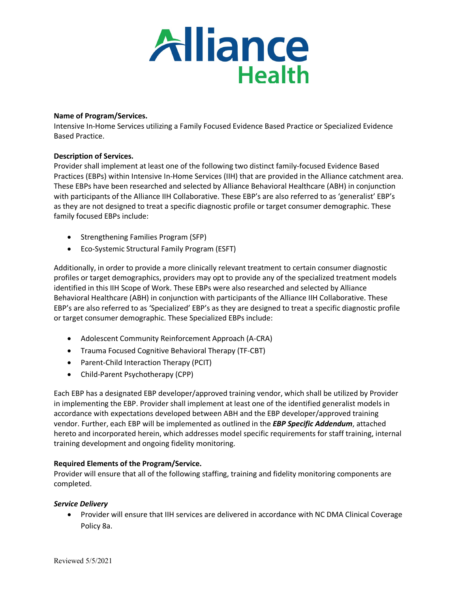

#### **Name of Program/Services.**

Intensive In-Home Services utilizing a Family Focused Evidence Based Practice or Specialized Evidence Based Practice.

### **Description of Services.**

Provider shall implement at least one of the following two distinct family-focused Evidence Based Practices (EBPs) within Intensive In-Home Services (IIH) that are provided in the Alliance catchment area. These EBPs have been researched and selected by Alliance Behavioral Healthcare (ABH) in conjunction with participants of the Alliance IIH Collaborative. These EBP's are also referred to as 'generalist' EBP's as they are not designed to treat a specific diagnostic profile or target consumer demographic. These family focused EBPs include:

- Strengthening Families Program (SFP)
- Eco-Systemic Structural Family Program (ESFT)

Additionally, in order to provide a more clinically relevant treatment to certain consumer diagnostic profiles or target demographics, providers may opt to provide any of the specialized treatment models identified in this IIH Scope of Work. These EBPs were also researched and selected by Alliance Behavioral Healthcare (ABH) in conjunction with participants of the Alliance IIH Collaborative. These EBP's are also referred to as 'Specialized' EBP's as they are designed to treat a specific diagnostic profile or target consumer demographic. These Specialized EBPs include:

- Adolescent Community Reinforcement Approach (A-CRA)
- Trauma Focused Cognitive Behavioral Therapy (TF-CBT)
- Parent-Child Interaction Therapy (PCIT)
- Child-Parent Psychotherapy (CPP)

Each EBP has a designated EBP developer/approved training vendor, which shall be utilized by Provider in implementing the EBP. Provider shall implement at least one of the identified generalist models in accordance with expectations developed between ABH and the EBP developer/approved training vendor. Further, each EBP will be implemented as outlined in the *EBP Specific Addendum*, attached hereto and incorporated herein, which addresses model specific requirements for staff training, internal training development and ongoing fidelity monitoring.

### **Required Elements of the Program/Service.**

Provider will ensure that all of the following staffing, training and fidelity monitoring components are completed.

### *Service Delivery*

• Provider will ensure that IIH services are delivered in accordance with NC DMA Clinical Coverage Policy 8a.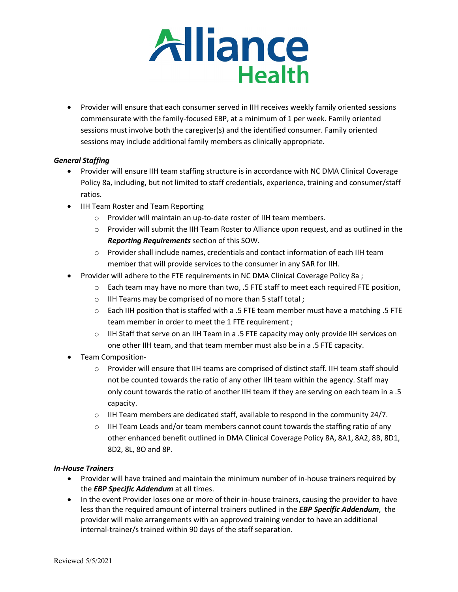

• Provider will ensure that each consumer served in IIH receives weekly family oriented sessions commensurate with the family-focused EBP, at a minimum of 1 per week. Family oriented sessions must involve both the caregiver(s) and the identified consumer. Family oriented sessions may include additional family members as clinically appropriate.

# *General Staffing*

- Provider will ensure IIH team staffing structure is in accordance with NC DMA Clinical Coverage Policy 8a, including, but not limited to staff credentials, experience, training and consumer/staff ratios.
- IIH Team Roster and Team Reporting
	- o Provider will maintain an up-to-date roster of IIH team members.
	- o Provider will submit the IIH Team Roster to Alliance upon request, and as outlined in the *Reporting Requirements* section of this SOW.
	- o Provider shall include names, credentials and contact information of each IIH team member that will provide services to the consumer in any SAR for IIH.
- Provider will adhere to the FTE requirements in NC DMA Clinical Coverage Policy 8a ;
	- $\circ$  Each team may have no more than two, .5 FTE staff to meet each required FTE position,
	- o IIH Teams may be comprised of no more than 5 staff total ;
	- $\circ$  Each IIH position that is staffed with a .5 FTE team member must have a matching .5 FTE team member in order to meet the 1 FTE requirement ;
	- $\circ$  IIH Staff that serve on an IIH Team in a .5 FTE capacity may only provide IIH services on one other IIH team, and that team member must also be in a .5 FTE capacity.
- Team Composition-
	- $\circ$  Provider will ensure that IIH teams are comprised of distinct staff. IIH team staff should not be counted towards the ratio of any other IIH team within the agency. Staff may only count towards the ratio of another IIH team if they are serving on each team in a .5 capacity.
	- $\circ$  IIH Team members are dedicated staff, available to respond in the community 24/7.
	- $\circ$  IIH Team Leads and/or team members cannot count towards the staffing ratio of any other enhanced benefit outlined in DMA Clinical Coverage Policy 8A, 8A1, 8A2, 8B, 8D1, 8D2, 8L, 8O and 8P.

### *In-House Trainers*

- Provider will have trained and maintain the minimum number of in-house trainers required by the *EBP Specific Addendum* at all times.
- In the event Provider loses one or more of their in-house trainers, causing the provider to have less than the required amount of internal trainers outlined in the *EBP Specific Addendum*, the provider will make arrangements with an approved training vendor to have an additional internal-trainer/s trained within 90 days of the staff separation.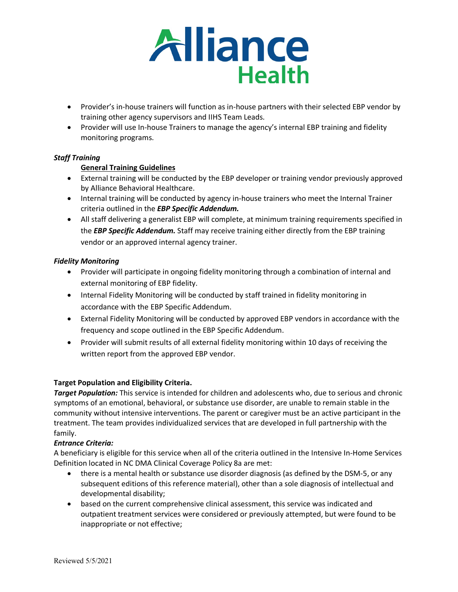

- Provider's in-house trainers will function as in-house partners with their selected EBP vendor by training other agency supervisors and IIHS Team Leads.
- Provider will use In-house Trainers to manage the agency's internal EBP training and fidelity monitoring programs.

# *Staff Training*

# **General Training Guidelines**

- External training will be conducted by the EBP developer or training vendor previously approved by Alliance Behavioral Healthcare.
- Internal training will be conducted by agency in-house trainers who meet the Internal Trainer criteria outlined in the *EBP Specific Addendum.*
- All staff delivering a generalist EBP will complete, at minimum training requirements specified in the *EBP Specific Addendum.* Staff may receive training either directly from the EBP training vendor or an approved internal agency trainer.

### *Fidelity Monitoring*

- Provider will participate in ongoing fidelity monitoring through a combination of internal and external monitoring of EBP fidelity.
- Internal Fidelity Monitoring will be conducted by staff trained in fidelity monitoring in accordance with the EBP Specific Addendum.
- External Fidelity Monitoring will be conducted by approved EBP vendors in accordance with the frequency and scope outlined in the EBP Specific Addendum.
- Provider will submit results of all external fidelity monitoring within 10 days of receiving the written report from the approved EBP vendor.

### **Target Population and Eligibility Criteria.**

*Target Population:* This service is intended for children and adolescents who, due to serious and chronic symptoms of an emotional, behavioral, or substance use disorder, are unable to remain stable in the community without intensive interventions. The parent or caregiver must be an active participant in the treatment. The team provides individualized services that are developed in full partnership with the family.

### *Entrance Criteria:*

A beneficiary is eligible for this service when all of the criteria outlined in the Intensive In-Home Services Definition located in NC DMA Clinical Coverage Policy 8a are met:

- there is a mental health or substance use disorder diagnosis (as defined by the DSM-5, or any subsequent editions of this reference material), other than a sole diagnosis of intellectual and developmental disability;
- based on the current comprehensive clinical assessment, this service was indicated and outpatient treatment services were considered or previously attempted, but were found to be inappropriate or not effective;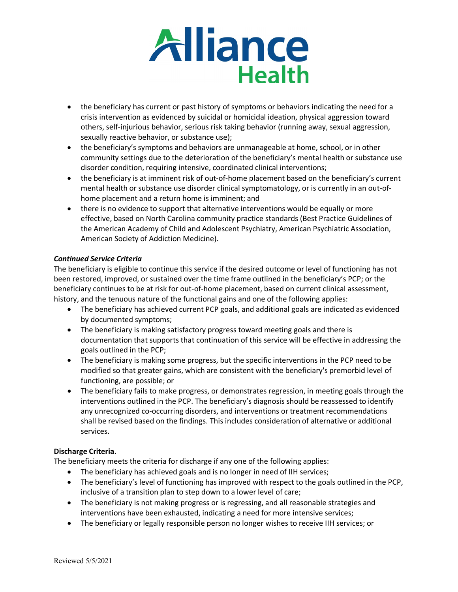

- the beneficiary has current or past history of symptoms or behaviors indicating the need for a crisis intervention as evidenced by suicidal or homicidal ideation, physical aggression toward others, self-injurious behavior, serious risk taking behavior (running away, sexual aggression, sexually reactive behavior, or substance use);
- the beneficiary's symptoms and behaviors are unmanageable at home, school, or in other community settings due to the deterioration of the beneficiary's mental health or substance use disorder condition, requiring intensive, coordinated clinical interventions;
- the beneficiary is at imminent risk of out-of-home placement based on the beneficiary's current mental health or substance use disorder clinical symptomatology, or is currently in an out-ofhome placement and a return home is imminent; and
- there is no evidence to support that alternative interventions would be equally or more effective, based on North Carolina community practice standards (Best Practice Guidelines of the American Academy of Child and Adolescent Psychiatry, American Psychiatric Association, American Society of Addiction Medicine).

# *Continued Service Criteria*

The beneficiary is eligible to continue this service if the desired outcome or level of functioning has not been restored, improved, or sustained over the time frame outlined in the beneficiary's PCP; or the beneficiary continues to be at risk for out-of-home placement, based on current clinical assessment, history, and the tenuous nature of the functional gains and one of the following applies:

- The beneficiary has achieved current PCP goals, and additional goals are indicated as evidenced by documented symptoms;
- The beneficiary is making satisfactory progress toward meeting goals and there is documentation that supports that continuation of this service will be effective in addressing the goals outlined in the PCP;
- The beneficiary is making some progress, but the specific interventions in the PCP need to be modified so that greater gains, which are consistent with the beneficiary's premorbid level of functioning, are possible; or
- The beneficiary fails to make progress, or demonstrates regression, in meeting goals through the interventions outlined in the PCP. The beneficiary's diagnosis should be reassessed to identify any unrecognized co-occurring disorders, and interventions or treatment recommendations shall be revised based on the findings. This includes consideration of alternative or additional services.

# **Discharge Criteria.**

The beneficiary meets the criteria for discharge if any one of the following applies:

- The beneficiary has achieved goals and is no longer in need of IIH services;
- The beneficiary's level of functioning has improved with respect to the goals outlined in the PCP, inclusive of a transition plan to step down to a lower level of care;
- The beneficiary is not making progress or is regressing, and all reasonable strategies and interventions have been exhausted, indicating a need for more intensive services;
- The beneficiary or legally responsible person no longer wishes to receive IIH services; or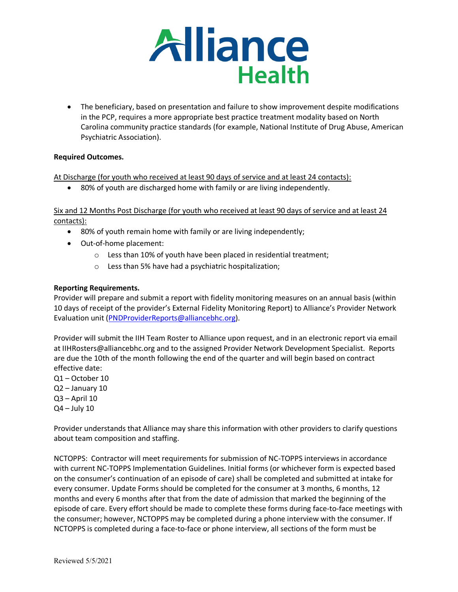

• The beneficiary, based on presentation and failure to show improvement despite modifications in the PCP, requires a more appropriate best practice treatment modality based on North Carolina community practice standards (for example, National Institute of Drug Abuse, American Psychiatric Association).

# **Required Outcomes.**

At Discharge (for youth who received at least 90 days of service and at least 24 contacts):

• 80% of youth are discharged home with family or are living independently.

Six and 12 Months Post Discharge (for youth who received at least 90 days of service and at least 24 contacts):

- 80% of youth remain home with family or are living independently;
- Out-of-home placement:
	- o Less than 10% of youth have been placed in residential treatment;
	- o Less than 5% have had a psychiatric hospitalization;

### **Reporting Requirements.**

Provider will prepare and submit a report with fidelity monitoring measures on an annual basis (within 10 days of receipt of the provider's External Fidelity Monitoring Report) to Alliance's Provider Network Evaluation unit [\(PNDProviderReports@alliancebhc.org\)](mailto:PNDProviderReports@alliancebhc.org).

Provider will submit the IIH Team Roster to Alliance upon request, and in an electronic report via email at IIHRosters@alliancebhc.org and to the assigned Provider Network Development Specialist. Reports are due the 10th of the month following the end of the quarter and will begin based on contract effective date:

- Q1 October 10
- Q2 January 10
- Q3 April 10
- $Q4 July 10$

Provider understands that Alliance may share this information with other providers to clarify questions about team composition and staffing.

NCTOPPS: Contractor will meet requirements for submission of NC-TOPPS interviews in accordance with current NC-TOPPS Implementation Guidelines. Initial forms (or whichever form is expected based on the consumer's continuation of an episode of care) shall be completed and submitted at intake for every consumer. Update Forms should be completed for the consumer at 3 months, 6 months, 12 months and every 6 months after that from the date of admission that marked the beginning of the episode of care. Every effort should be made to complete these forms during face-to-face meetings with the consumer; however, NCTOPPS may be completed during a phone interview with the consumer. If NCTOPPS is completed during a face-to-face or phone interview, all sections of the form must be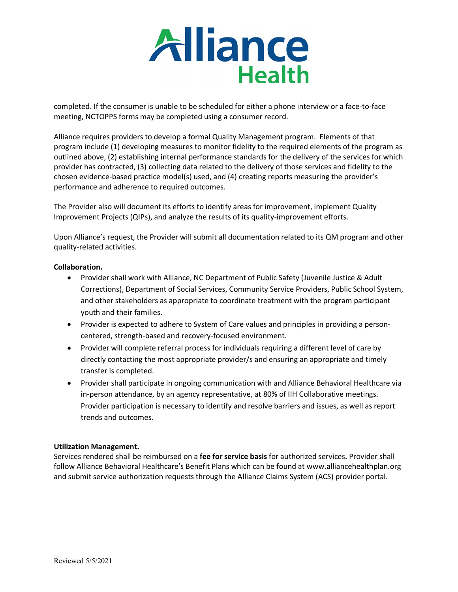

completed. If the consumer is unable to be scheduled for either a phone interview or a face-to-face meeting, NCTOPPS forms may be completed using a consumer record.

Alliance requires providers to develop a formal Quality Management program. Elements of that program include (1) developing measures to monitor fidelity to the required elements of the program as outlined above, (2) establishing internal performance standards for the delivery of the services for which provider has contracted, (3) collecting data related to the delivery of those services and fidelity to the chosen evidence-based practice model(s) used, and (4) creating reports measuring the provider's performance and adherence to required outcomes.

The Provider also will document its efforts to identify areas for improvement, implement Quality Improvement Projects (QIPs), and analyze the results of its quality-improvement efforts.

Upon Alliance's request, the Provider will submit all documentation related to its QM program and other quality-related activities.

### **Collaboration.**

- Provider shall work with Alliance, NC Department of Public Safety (Juvenile Justice & Adult Corrections), Department of Social Services, Community Service Providers, Public School System, and other stakeholders as appropriate to coordinate treatment with the program participant youth and their families.
- Provider is expected to adhere to System of Care values and principles in providing a personcentered, strength-based and recovery-focused environment.
- Provider will complete referral process for individuals requiring a different level of care by directly contacting the most appropriate provider/s and ensuring an appropriate and timely transfer is completed.
- Provider shall participate in ongoing communication with and Alliance Behavioral Healthcare via in-person attendance, by an agency representative, at 80% of IIH Collaborative meetings. Provider participation is necessary to identify and resolve barriers and issues, as well as report trends and outcomes.

### **Utilization Management.**

Services rendered shall be reimbursed on a **fee for service basis** for authorized services**.** Provider shall follow Alliance Behavioral Healthcare's Benefit Plans which can be found at www.alliancehealthplan.org and submit service authorization requests through the Alliance Claims System (ACS) provider portal.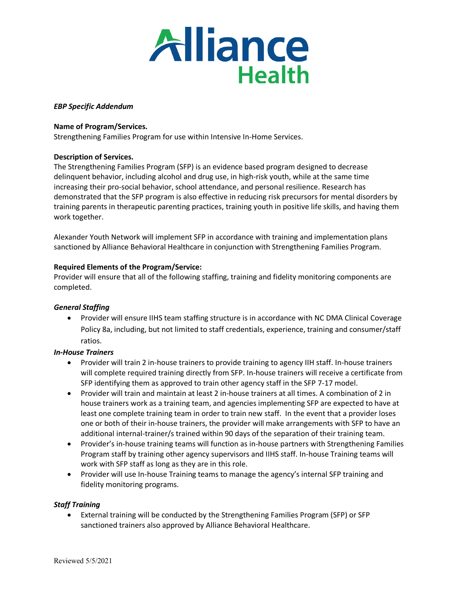

### *EBP Specific Addendum*

#### **Name of Program/Services.**

Strengthening Families Program for use within Intensive In-Home Services.

#### **Description of Services.**

The Strengthening Families Program (SFP) is an evidence based program designed to decrease delinquent behavior, including alcohol and drug use, in high-risk youth, while at the same time increasing their pro-social behavior, school attendance, and personal resilience. Research has demonstrated that the SFP program is also effective in reducing risk precursors for mental disorders by training parents in therapeutic parenting practices, training youth in positive life skills, and having them work together.

Alexander Youth Network will implement SFP in accordance with training and implementation plans sanctioned by Alliance Behavioral Healthcare in conjunction with Strengthening Families Program.

#### **Required Elements of the Program/Service:**

Provider will ensure that all of the following staffing, training and fidelity monitoring components are completed.

### *General Staffing*

• Provider will ensure IIHS team staffing structure is in accordance with NC DMA Clinical Coverage Policy 8a, including, but not limited to staff credentials, experience, training and consumer/staff ratios.

### *In-House Trainers*

- Provider will train 2 in-house trainers to provide training to agency IIH staff. In-house trainers will complete required training directly from SFP. In-house trainers will receive a certificate from SFP identifying them as approved to train other agency staff in the SFP 7-17 model.
- Provider will train and maintain at least 2 in-house trainers at all times. A combination of 2 in house trainers work as a training team, and agencies implementing SFP are expected to have at least one complete training team in order to train new staff. In the event that a provider loses one or both of their in-house trainers, the provider will make arrangements with SFP to have an additional internal-trainer/s trained within 90 days of the separation of their training team.
- Provider's in-house training teams will function as in-house partners with Strengthening Families Program staff by training other agency supervisors and IIHS staff. In-house Training teams will work with SFP staff as long as they are in this role.
- Provider will use In-house Training teams to manage the agency's internal SFP training and fidelity monitoring programs.

#### *Staff Training*

• External training will be conducted by the Strengthening Families Program (SFP) or SFP sanctioned trainers also approved by Alliance Behavioral Healthcare.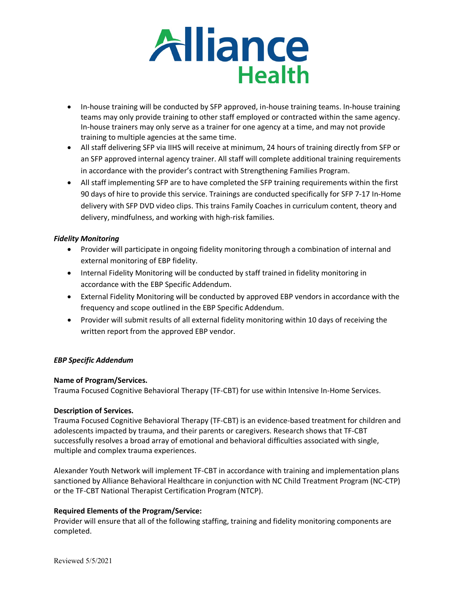

- In-house training will be conducted by SFP approved, in-house training teams. In-house training teams may only provide training to other staff employed or contracted within the same agency. In-house trainers may only serve as a trainer for one agency at a time, and may not provide training to multiple agencies at the same time.
- All staff delivering SFP via IIHS will receive at minimum, 24 hours of training directly from SFP or an SFP approved internal agency trainer. All staff will complete additional training requirements in accordance with the provider's contract with Strengthening Families Program.
- All staff implementing SFP are to have completed the SFP training requirements within the first 90 days of hire to provide this service. Trainings are conducted specifically for SFP 7-17 In-Home delivery with SFP DVD video clips. This trains Family Coaches in curriculum content, theory and delivery, mindfulness, and working with high-risk families.

# *Fidelity Monitoring*

- Provider will participate in ongoing fidelity monitoring through a combination of internal and external monitoring of EBP fidelity.
- Internal Fidelity Monitoring will be conducted by staff trained in fidelity monitoring in accordance with the EBP Specific Addendum.
- External Fidelity Monitoring will be conducted by approved EBP vendors in accordance with the frequency and scope outlined in the EBP Specific Addendum.
- Provider will submit results of all external fidelity monitoring within 10 days of receiving the written report from the approved EBP vendor.

### *EBP Specific Addendum*

### **Name of Program/Services.**

Trauma Focused Cognitive Behavioral Therapy (TF-CBT) for use within Intensive In-Home Services.

### **Description of Services.**

Trauma Focused Cognitive Behavioral Therapy (TF-CBT) is an evidence-based treatment for children and adolescents impacted by trauma, and their parents or caregivers. Research shows that TF-CBT successfully resolves a broad array of emotional and behavioral difficulties associated with single, multiple and complex trauma experiences.

Alexander Youth Network will implement TF-CBT in accordance with training and implementation plans sanctioned by Alliance Behavioral Healthcare in conjunction with NC Child Treatment Program (NC-CTP) or the TF-CBT National Therapist Certification Program (NTCP).

### **Required Elements of the Program/Service:**

Provider will ensure that all of the following staffing, training and fidelity monitoring components are completed.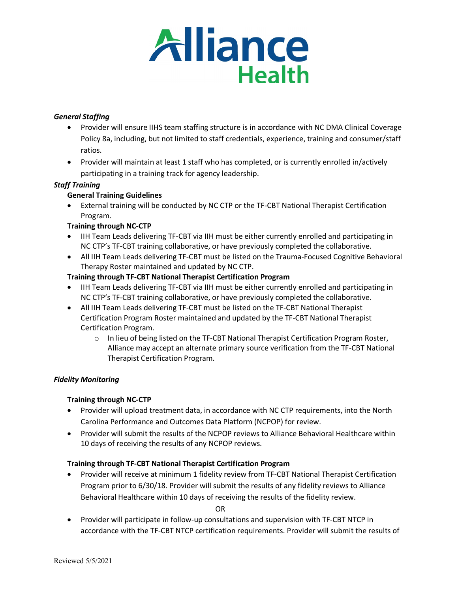

# *General Staffing*

- Provider will ensure IIHS team staffing structure is in accordance with NC DMA Clinical Coverage Policy 8a, including, but not limited to staff credentials, experience, training and consumer/staff ratios.
- Provider will maintain at least 1 staff who has completed, or is currently enrolled in/actively participating in a training track for agency leadership.

# *Staff Training*

# **General Training Guidelines**

• External training will be conducted by NC CTP or the TF-CBT National Therapist Certification Program.

### **Training through NC-CTP**

- IIH Team Leads delivering TF-CBT via IIH must be either currently enrolled and participating in NC CTP's TF-CBT training collaborative, or have previously completed the collaborative.
- All IIH Team Leads delivering TF-CBT must be listed on the Trauma-Focused Cognitive Behavioral Therapy Roster maintained and updated by NC CTP.

### **Training through TF-CBT National Therapist Certification Program**

- IIH Team Leads delivering TF-CBT via IIH must be either currently enrolled and participating in NC CTP's TF-CBT training collaborative, or have previously completed the collaborative.
- All IIH Team Leads delivering TF-CBT must be listed on the TF-CBT National Therapist Certification Program Roster maintained and updated by the TF-CBT National Therapist Certification Program.
	- o In lieu of being listed on the TF-CBT National Therapist Certification Program Roster, Alliance may accept an alternate primary source verification from the TF-CBT National Therapist Certification Program.

### *Fidelity Monitoring*

### **Training through NC-CTP**

- Provider will upload treatment data, in accordance with NC CTP requirements, into the North Carolina Performance and Outcomes Data Platform (NCPOP) for review.
- Provider will submit the results of the NCPOP reviews to Alliance Behavioral Healthcare within 10 days of receiving the results of any NCPOP reviews.

### **Training through TF-CBT National Therapist Certification Program**

• Provider will receive at minimum 1 fidelity review from TF-CBT National Therapist Certification Program prior to 6/30/18. Provider will submit the results of any fidelity reviews to Alliance Behavioral Healthcare within 10 days of receiving the results of the fidelity review.

OR

• Provider will participate in follow-up consultations and supervision with TF-CBT NTCP in accordance with the TF-CBT NTCP certification requirements. Provider will submit the results of